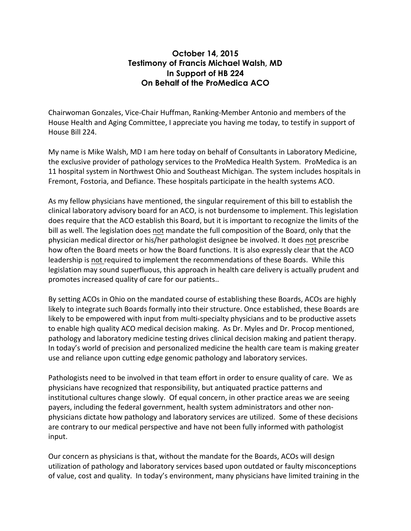## **October 14, 2015 Testimony of Francis Michael Walsh, MD In Support of HB 224 On Behalf of the ProMedica ACO**

Chairwoman Gonzales, Vice-Chair Huffman, Ranking-Member Antonio and members of the House Health and Aging Committee, I appreciate you having me today, to testify in support of House Bill 224.

My name is Mike Walsh, MD I am here today on behalf of Consultants in Laboratory Medicine, the exclusive provider of pathology services to the ProMedica Health System. ProMedica is an 11 hospital system in Northwest Ohio and Southeast Michigan. The system includes hospitals in Fremont, Fostoria, and Defiance. These hospitals participate in the health systems ACO.

As my fellow physicians have mentioned, the singular requirement of this bill to establish the clinical laboratory advisory board for an ACO, is not burdensome to implement. This legislation does require that the ACO establish this Board, but it is important to recognize the limits of the bill as well. The legislation does not mandate the full composition of the Board, only that the physician medical director or his/her pathologist designee be involved. It does not prescribe how often the Board meets or how the Board functions. It is also expressly clear that the ACO leadership is not required to implement the recommendations of these Boards. While this legislation may sound superfluous, this approach in health care delivery is actually prudent and promotes increased quality of care for our patients..

By setting ACOs in Ohio on the mandated course of establishing these Boards, ACOs are highly likely to integrate such Boards formally into their structure. Once established, these Boards are likely to be empowered with input from multi-specialty physicians and to be productive assets to enable high quality ACO medical decision making. As Dr. Myles and Dr. Procop mentioned, pathology and laboratory medicine testing drives clinical decision making and patient therapy. In today's world of precision and personalized medicine the health care team is making greater use and reliance upon cutting edge genomic pathology and laboratory services.

Pathologists need to be involved in that team effort in order to ensure quality of care. We as physicians have recognized that responsibility, but antiquated practice patterns and institutional cultures change slowly. Of equal concern, in other practice areas we are seeing payers, including the federal government, health system administrators and other nonphysicians dictate how pathology and laboratory services are utilized. Some of these decisions are contrary to our medical perspective and have not been fully informed with pathologist input. 

Our concern as physicians is that, without the mandate for the Boards, ACOs will design utilization of pathology and laboratory services based upon outdated or faulty misconceptions of value, cost and quality. In today's environment, many physicians have limited training in the